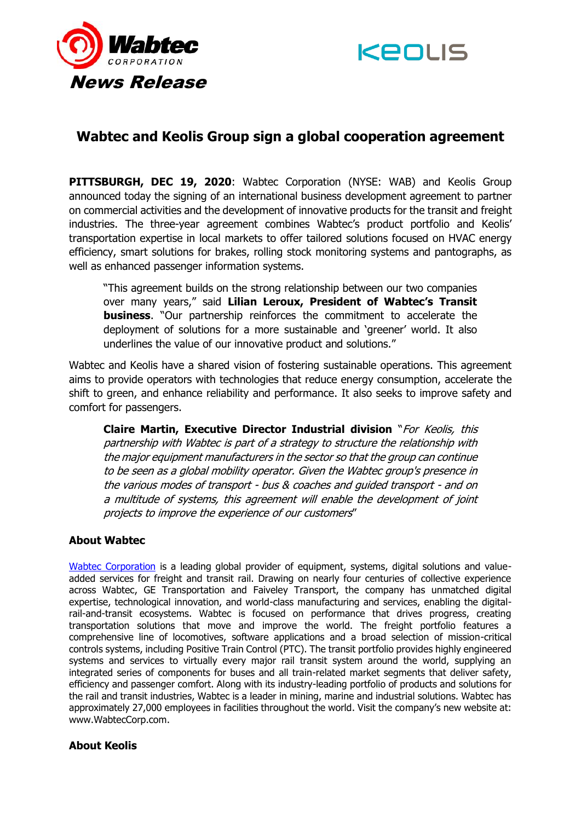



## **Wabtec and Keolis Group sign a global cooperation agreement**

**PITTSBURGH, DEC 19, 2020**: Wabtec Corporation (NYSE: WAB) and Keolis Group announced today the signing of an international business development agreement to partner on commercial activities and the development of innovative products for the transit and freight industries. The three-year agreement combines Wabtec's product portfolio and Keolis' transportation expertise in local markets to offer tailored solutions focused on HVAC energy efficiency, smart solutions for brakes, rolling stock monitoring systems and pantographs, as well as enhanced passenger information systems.

"This agreement builds on the strong relationship between our two companies over many years," said **Lilian Leroux, President of Wabtec's Transit business**. "Our partnership reinforces the commitment to accelerate the deployment of solutions for a more sustainable and 'greener' world. It also underlines the value of our innovative product and solutions."

Wabtec and Keolis have a shared vision of fostering sustainable operations. This agreement aims to provide operators with technologies that reduce energy consumption, accelerate the shift to green, and enhance reliability and performance. It also seeks to improve safety and comfort for passengers.

**Claire Martin, Executive Director Industrial division** "For Keolis, this partnership with Wabtec is part of a strategy to structure the relationship with the major equipment manufacturers in the sector so that the group can continue to be seen as a global mobility operator. Given the Wabtec group's presence in the various modes of transport - bus & coaches and guided transport - and on a multitude of systems, this agreement will enable the development of joint projects to improve the experience of our customers"

## **About Wabtec**

[Wabtec Corporation](http://www.wabteccorp.com/) is a leading global provider of equipment, systems, digital solutions and valueadded services for freight and transit rail. Drawing on nearly four centuries of collective experience across Wabtec, GE Transportation and Faiveley Transport, the company has unmatched digital expertise, technological innovation, and world-class manufacturing and services, enabling the digitalrail-and-transit ecosystems. Wabtec is focused on performance that drives progress, creating transportation solutions that move and improve the world. The freight portfolio features a comprehensive line of locomotives, software applications and a broad selection of mission-critical controls systems, including Positive Train Control (PTC). The transit portfolio provides highly engineered systems and services to virtually every major rail transit system around the world, supplying an integrated series of components for buses and all train-related market segments that deliver safety, efficiency and passenger comfort. Along with its industry-leading portfolio of products and solutions for the rail and transit industries, Wabtec is a leader in mining, marine and industrial solutions. Wabtec has approximately 27,000 employees in facilities throughout the world. Visit the company's new website at: www.WabtecCorp.com.

## **About Keolis**